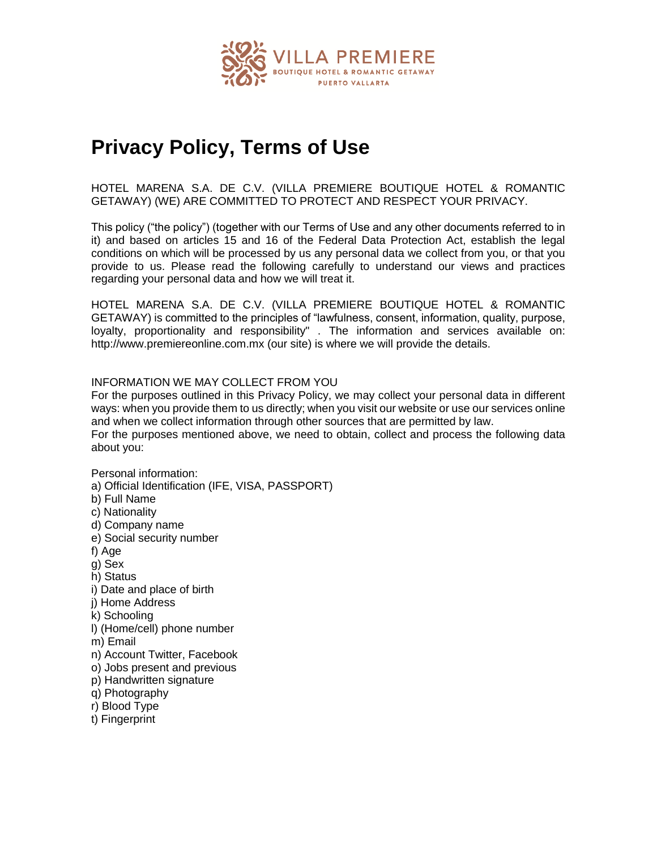

# **Privacy Policy, Terms of Use**

HOTEL MARENA S.A. DE C.V. (VILLA PREMIERE BOUTIQUE HOTEL & ROMANTIC GETAWAY) (WE) ARE COMMITTED TO PROTECT AND RESPECT YOUR PRIVACY.

This policy ("the policy") (together with our Terms of Use and any other documents referred to in it) and based on articles 15 and 16 of the Federal Data Protection Act, establish the legal conditions on which will be processed by us any personal data we collect from you, or that you provide to us. Please read the following carefully to understand our views and practices regarding your personal data and how we will treat it.

HOTEL MARENA S.A. DE C.V. (VILLA PREMIERE BOUTIQUE HOTEL & ROMANTIC GETAWAY) is committed to the principles of "lawfulness, consent, information, quality, purpose, loyalty, proportionality and responsibility" . The information and services available on: http://www.premiereonline.com.mx (our site) is where we will provide the details.

# INFORMATION WE MAY COLLECT FROM YOU

For the purposes outlined in this Privacy Policy, we may collect your personal data in different ways: when you provide them to us directly; when you visit our website or use our services online and when we collect information through other sources that are permitted by law. For the purposes mentioned above, we need to obtain, collect and process the following data about you:

Personal information:

a) Official Identification (IFE, VISA, PASSPORT)

b) Full Name

- c) Nationality
- d) Company name
- e) Social security number

f) Age

- g) Sex
- h) Status
- i) Date and place of birth
- j) Home Address
- k) Schooling
- l) (Home/cell) phone number
- m) Email
- n) Account Twitter, Facebook
- o) Jobs present and previous
- p) Handwritten signature
- q) Photography
- r) Blood Type
- t) Fingerprint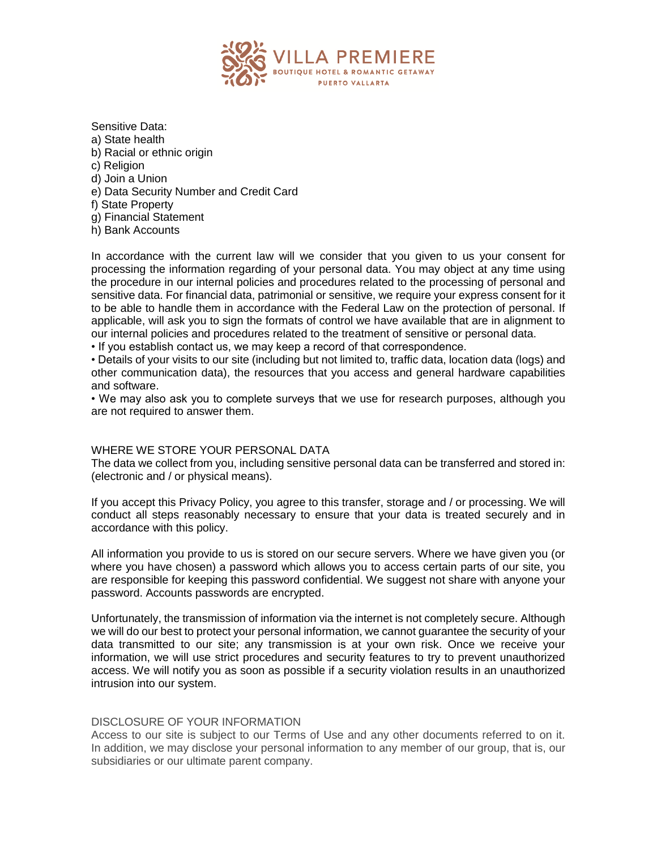

Sensitive Data: a) State health b) Racial or ethnic origin c) Religion d) Join a Union e) Data Security Number and Credit Card f) State Property g) Financial Statement

h) Bank Accounts

In accordance with the current law will we consider that you given to us your consent for processing the information regarding of your personal data. You may object at any time using the procedure in our internal policies and procedures related to the processing of personal and sensitive data. For financial data, patrimonial or sensitive, we require your express consent for it to be able to handle them in accordance with the Federal Law on the protection of personal. If applicable, will ask you to sign the formats of control we have available that are in alignment to our internal policies and procedures related to the treatment of sensitive or personal data.

• If you establish contact us, we may keep a record of that correspondence.

• Details of your visits to our site (including but not limited to, traffic data, location data (logs) and other communication data), the resources that you access and general hardware capabilities and software.

• We may also ask you to complete surveys that we use for research purposes, although you are not required to answer them.

### WHERE WE STORE YOUR PERSONAL DATA

The data we collect from you, including sensitive personal data can be transferred and stored in: (electronic and / or physical means).

If you accept this Privacy Policy, you agree to this transfer, storage and / or processing. We will conduct all steps reasonably necessary to ensure that your data is treated securely and in accordance with this policy.

All information you provide to us is stored on our secure servers. Where we have given you (or where you have chosen) a password which allows you to access certain parts of our site, you are responsible for keeping this password confidential. We suggest not share with anyone your password. Accounts passwords are encrypted.

Unfortunately, the transmission of information via the internet is not completely secure. Although we will do our best to protect your personal information, we cannot guarantee the security of your data transmitted to our site; any transmission is at your own risk. Once we receive your information, we will use strict procedures and security features to try to prevent unauthorized access. We will notify you as soon as possible if a security violation results in an unauthorized intrusion into our system.

### DISCLOSURE OF YOUR INFORMATION

Access to our site is subject to our Terms of Use and any other documents referred to on it. In addition, we may disclose your personal information to any member of our group, that is, our subsidiaries or our ultimate parent company.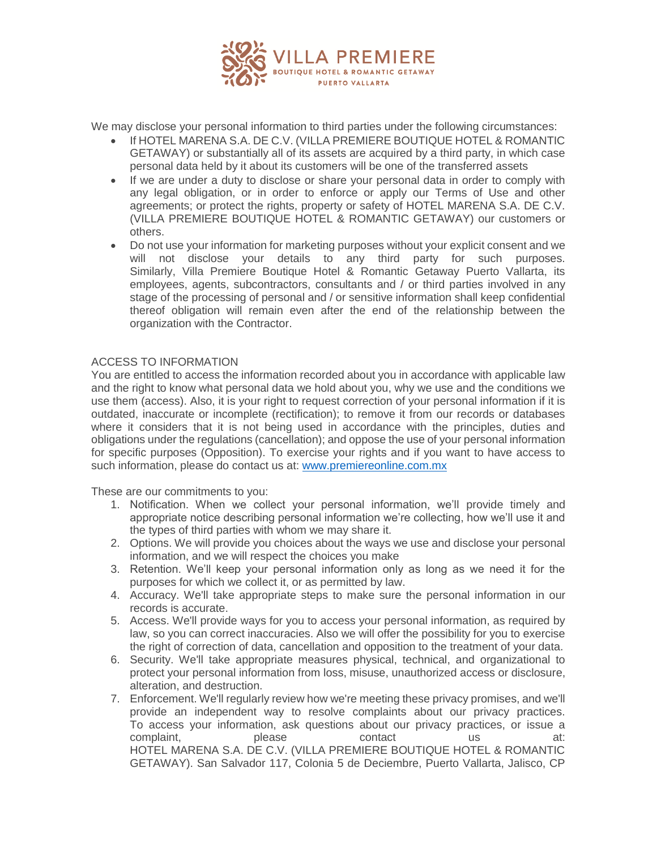

We may disclose your personal information to third parties under the following circumstances:

- If HOTEL MARENA S.A. DE C.V. (VILLA PREMIERE BOUTIQUE HOTEL & ROMANTIC GETAWAY) or substantially all of its assets are acquired by a third party, in which case personal data held by it about its customers will be one of the transferred assets
- If we are under a duty to disclose or share your personal data in order to comply with any legal obligation, or in order to enforce or apply our Terms of Use and other agreements; or protect the rights, property or safety of HOTEL MARENA S.A. DE C.V. (VILLA PREMIERE BOUTIQUE HOTEL & ROMANTIC GETAWAY) our customers or others.
- Do not use your information for marketing purposes without your explicit consent and we will not disclose your details to any third party for such purposes. Similarly, Villa Premiere Boutique Hotel & Romantic Getaway Puerto Vallarta, its employees, agents, subcontractors, consultants and / or third parties involved in any stage of the processing of personal and / or sensitive information shall keep confidential thereof obligation will remain even after the end of the relationship between the organization with the Contractor.

# ACCESS TO INFORMATION

You are entitled to access the information recorded about you in accordance with applicable law and the right to know what personal data we hold about you, why we use and the conditions we use them (access). Also, it is your right to request correction of your personal information if it is outdated, inaccurate or incomplete (rectification); to remove it from our records or databases where it considers that it is not being used in accordance with the principles, duties and obligations under the regulations (cancellation); and oppose the use of your personal information for specific purposes (Opposition). To exercise your rights and if you want to have access to such information, please do contact us at: [www.premiereonline.com.mx](http://www.premiereonline.com.mx/)

These are our commitments to you:

- 1. Notification. When we collect your personal information, we'll provide timely and appropriate notice describing personal information we're collecting, how we'll use it and the types of third parties with whom we may share it.
- 2. Options. We will provide you choices about the ways we use and disclose your personal information, and we will respect the choices you make
- 3. Retention. We'll keep your personal information only as long as we need it for the purposes for which we collect it, or as permitted by law.
- 4. Accuracy. We'll take appropriate steps to make sure the personal information in our records is accurate.
- 5. Access. We'll provide ways for you to access your personal information, as required by law, so you can correct inaccuracies. Also we will offer the possibility for you to exercise the right of correction of data, cancellation and opposition to the treatment of your data.
- 6. Security. We'll take appropriate measures physical, technical, and organizational to protect your personal information from loss, misuse, unauthorized access or disclosure, alteration, and destruction.
- 7. Enforcement. We'll regularly review how we're meeting these privacy promises, and we'll provide an independent way to resolve complaints about our privacy practices. To access your information, ask questions about our privacy practices, or issue a complaint, blease contact us at: HOTEL MARENA S.A. DE C.V. (VILLA PREMIERE BOUTIQUE HOTEL & ROMANTIC GETAWAY). San Salvador 117, Colonia 5 de Deciembre, Puerto Vallarta, Jalisco, CP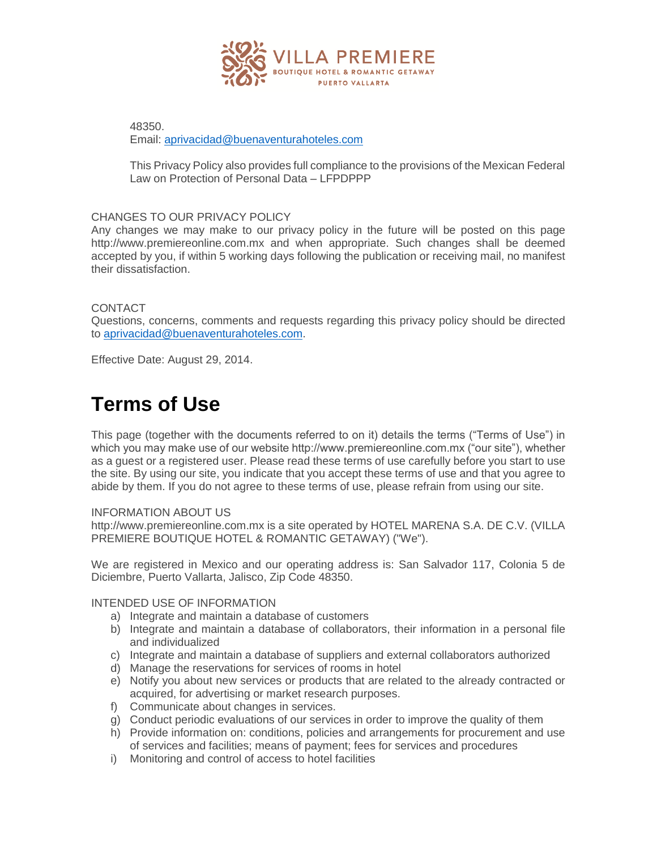

48350. Email: [aprivacidad@buenaventurahoteles.com](mailto:aprivacidad@buenaventurahoteles.com)

This Privacy Policy also provides full compliance to the provisions of the Mexican Federal Law on Protection of Personal Data – LFPDPPP

# CHANGES TO OUR PRIVACY POLICY

Any changes we may make to our privacy policy in the future will be posted on this page http://www.premiereonline.com.mx and when appropriate. Such changes shall be deemed accepted by you, if within 5 working days following the publication or receiving mail, no manifest their dissatisfaction.

## CONTACT

Questions, concerns, comments and requests regarding this privacy policy should be directed to [aprivacidad@buenaventurahoteles.com.](mailto:aprivacidad@buenaventurahoteles.com)

Effective Date: August 29, 2014.

# **Terms of Use**

This page (together with the documents referred to on it) details the terms ("Terms of Use") in which you may make use of our website http://www.premiereonline.com.mx ("our site"), whether as a guest or a registered user. Please read these terms of use carefully before you start to use the site. By using our site, you indicate that you accept these terms of use and that you agree to abide by them. If you do not agree to these terms of use, please refrain from using our site.

### INFORMATION ABOUT US

http://www.premiereonline.com.mx is a site operated by HOTEL MARENA S.A. DE C.V. (VILLA PREMIERE BOUTIQUE HOTEL & ROMANTIC GETAWAY) ("We").

We are registered in Mexico and our operating address is: San Salvador 117, Colonia 5 de Diciembre, Puerto Vallarta, Jalisco, Zip Code 48350.

INTENDED USE OF INFORMATION

- a) Integrate and maintain a database of customers
- b) Integrate and maintain a database of collaborators, their information in a personal file and individualized
- c) Integrate and maintain a database of suppliers and external collaborators authorized
- d) Manage the reservations for services of rooms in hotel
- e) Notify you about new services or products that are related to the already contracted or acquired, for advertising or market research purposes.
- f) Communicate about changes in services.
- g) Conduct periodic evaluations of our services in order to improve the quality of them
- h) Provide information on: conditions, policies and arrangements for procurement and use of services and facilities; means of payment; fees for services and procedures
- i) Monitoring and control of access to hotel facilities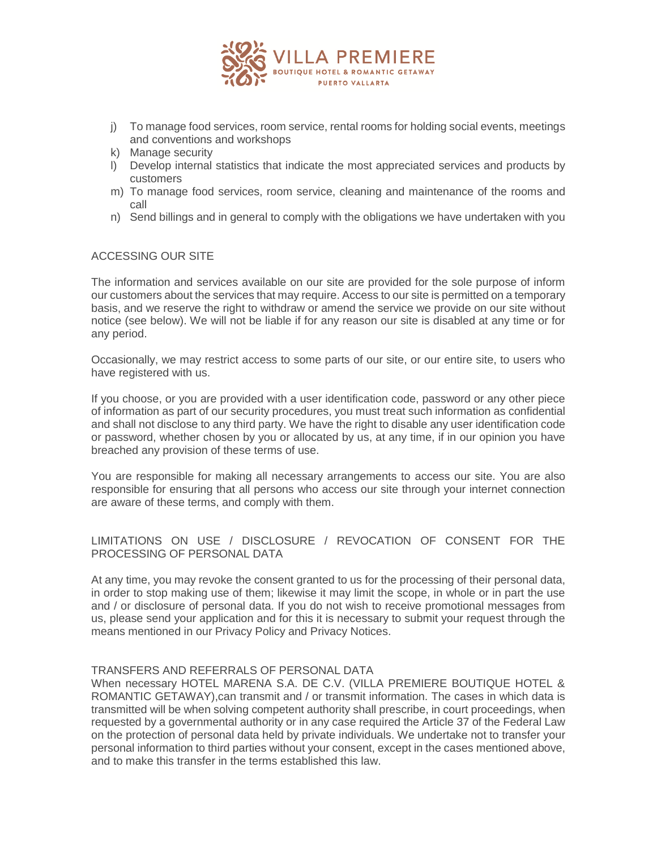

- j) To manage food services, room service, rental rooms for holding social events, meetings and conventions and workshops
- k) Manage security
- l) Develop internal statistics that indicate the most appreciated services and products by customers
- m) To manage food services, room service, cleaning and maintenance of the rooms and call
- n) Send billings and in general to comply with the obligations we have undertaken with you

# ACCESSING OUR SITE

The information and services available on our site are provided for the sole purpose of inform our customers about the services that may require. Access to our site is permitted on a temporary basis, and we reserve the right to withdraw or amend the service we provide on our site without notice (see below). We will not be liable if for any reason our site is disabled at any time or for any period.

Occasionally, we may restrict access to some parts of our site, or our entire site, to users who have registered with us.

If you choose, or you are provided with a user identification code, password or any other piece of information as part of our security procedures, you must treat such information as confidential and shall not disclose to any third party. We have the right to disable any user identification code or password, whether chosen by you or allocated by us, at any time, if in our opinion you have breached any provision of these terms of use.

You are responsible for making all necessary arrangements to access our site. You are also responsible for ensuring that all persons who access our site through your internet connection are aware of these terms, and comply with them.

# LIMITATIONS ON USE / DISCLOSURE / REVOCATION OF CONSENT FOR THE PROCESSING OF PERSONAL DATA

At any time, you may revoke the consent granted to us for the processing of their personal data, in order to stop making use of them; likewise it may limit the scope, in whole or in part the use and / or disclosure of personal data. If you do not wish to receive promotional messages from us, please send your application and for this it is necessary to submit your request through the means mentioned in our Privacy Policy and Privacy Notices.

# TRANSFERS AND REFERRALS OF PERSONAL DATA

When necessary HOTEL MARENA S.A. DE C.V. (VILLA PREMIERE BOUTIQUE HOTEL & ROMANTIC GETAWAY),can transmit and / or transmit information. The cases in which data is transmitted will be when solving competent authority shall prescribe, in court proceedings, when requested by a governmental authority or in any case required the Article 37 of the Federal Law on the protection of personal data held by private individuals. We undertake not to transfer your personal information to third parties without your consent, except in the cases mentioned above, and to make this transfer in the terms established this law.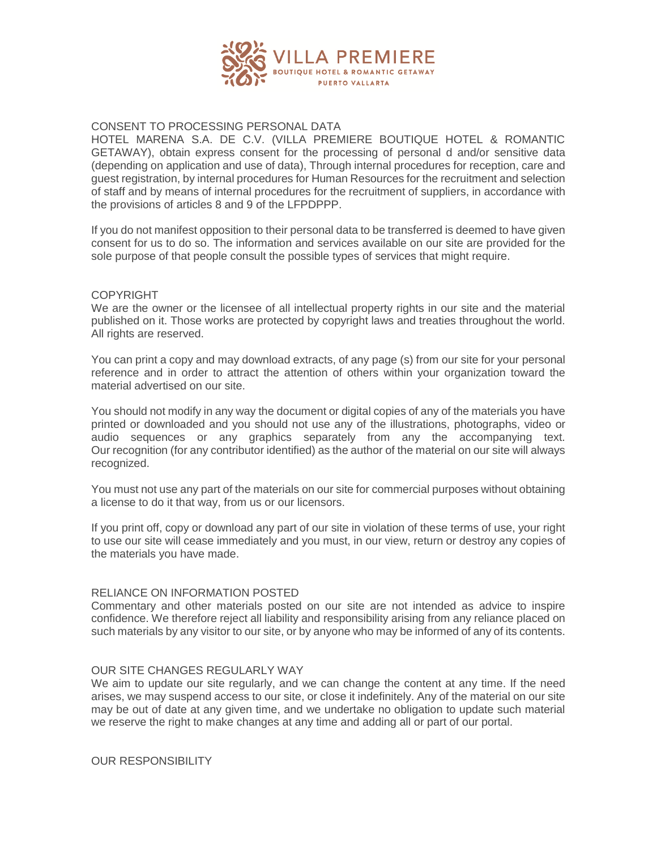

# CONSENT TO PROCESSING PERSONAL DATA

HOTEL MARENA S.A. DE C.V. (VILLA PREMIERE BOUTIQUE HOTEL & ROMANTIC GETAWAY), obtain express consent for the processing of personal d and/or sensitive data (depending on application and use of data), Through internal procedures for reception, care and guest registration, by internal procedures for Human Resources for the recruitment and selection of staff and by means of internal procedures for the recruitment of suppliers, in accordance with the provisions of articles 8 and 9 of the LFPDPPP.

If you do not manifest opposition to their personal data to be transferred is deemed to have given consent for us to do so. The information and services available on our site are provided for the sole purpose of that people consult the possible types of services that might require.

## **COPYRIGHT**

We are the owner or the licensee of all intellectual property rights in our site and the material published on it. Those works are protected by copyright laws and treaties throughout the world. All rights are reserved.

You can print a copy and may download extracts, of any page (s) from our site for your personal reference and in order to attract the attention of others within your organization toward the material advertised on our site.

You should not modify in any way the document or digital copies of any of the materials you have printed or downloaded and you should not use any of the illustrations, photographs, video or audio sequences or any graphics separately from any the accompanying text. Our recognition (for any contributor identified) as the author of the material on our site will always recognized.

You must not use any part of the materials on our site for commercial purposes without obtaining a license to do it that way, from us or our licensors.

If you print off, copy or download any part of our site in violation of these terms of use, your right to use our site will cease immediately and you must, in our view, return or destroy any copies of the materials you have made.

### RELIANCE ON INFORMATION POSTED

Commentary and other materials posted on our site are not intended as advice to inspire confidence. We therefore reject all liability and responsibility arising from any reliance placed on such materials by any visitor to our site, or by anyone who may be informed of any of its contents.

### OUR SITE CHANGES REGULARLY WAY

We aim to update our site regularly, and we can change the content at any time. If the need arises, we may suspend access to our site, or close it indefinitely. Any of the material on our site may be out of date at any given time, and we undertake no obligation to update such material we reserve the right to make changes at any time and adding all or part of our portal.

OUR RESPONSIBILITY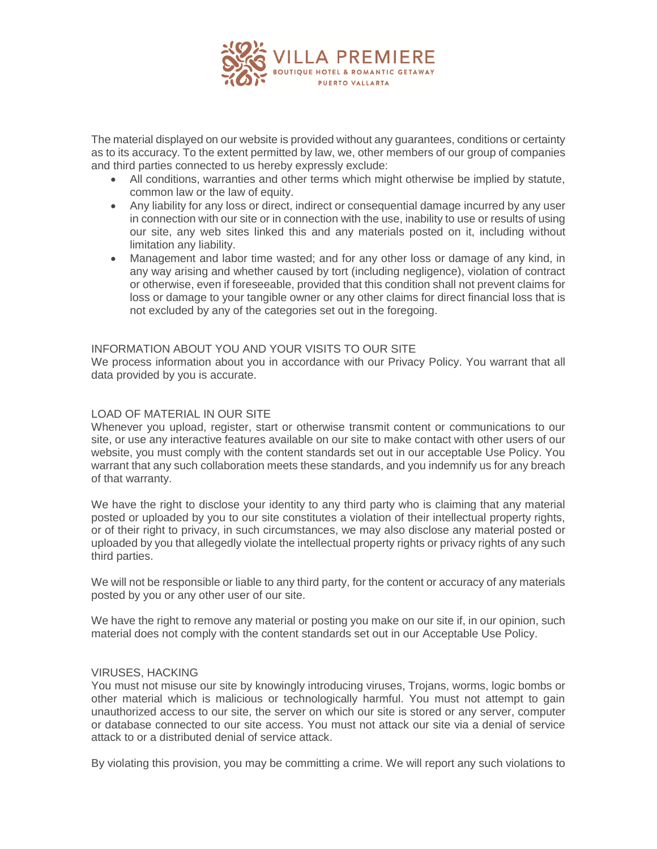

The material displayed on our website is provided without any guarantees, conditions or certainty as to its accuracy. To the extent permitted by law, we, other members of our group of companies and third parties connected to us hereby expressly exclude:

- All conditions, warranties and other terms which might otherwise be implied by statute, common law or the law of equity.
- Any liability for any loss or direct, indirect or consequential damage incurred by any user in connection with our site or in connection with the use, inability to use or results of using our site, any web sites linked this and any materials posted on it, including without limitation any liability.
- Management and labor time wasted; and for any other loss or damage of any kind, in any way arising and whether caused by tort (including negligence), violation of contract or otherwise, even if foreseeable, provided that this condition shall not prevent claims for loss or damage to your tangible owner or any other claims for direct financial loss that is not excluded by any of the categories set out in the foregoing.

## INFORMATION ABOUT YOU AND YOUR VISITS TO OUR SITE

We process information about you in accordance with our Privacy Policy. You warrant that all data provided by you is accurate.

# LOAD OF MATERIAL IN OUR SITE

Whenever you upload, register, start or otherwise transmit content or communications to our site, or use any interactive features available on our site to make contact with other users of our website, you must comply with the content standards set out in our acceptable Use Policy. You warrant that any such collaboration meets these standards, and you indemnify us for any breach of that warranty.

We have the right to disclose your identity to any third party who is claiming that any material posted or uploaded by you to our site constitutes a violation of their intellectual property rights, or of their right to privacy, in such circumstances, we may also disclose any material posted or uploaded by you that allegedly violate the intellectual property rights or privacy rights of any such third parties.

We will not be responsible or liable to any third party, for the content or accuracy of any materials posted by you or any other user of our site.

We have the right to remove any material or posting you make on our site if, in our opinion, such material does not comply with the content standards set out in our Acceptable Use Policy.

### VIRUSES, HACKING

You must not misuse our site by knowingly introducing viruses, Trojans, worms, logic bombs or other material which is malicious or technologically harmful. You must not attempt to gain unauthorized access to our site, the server on which our site is stored or any server, computer or database connected to our site access. You must not attack our site via a denial of service attack to or a distributed denial of service attack.

By violating this provision, you may be committing a crime. We will report any such violations to